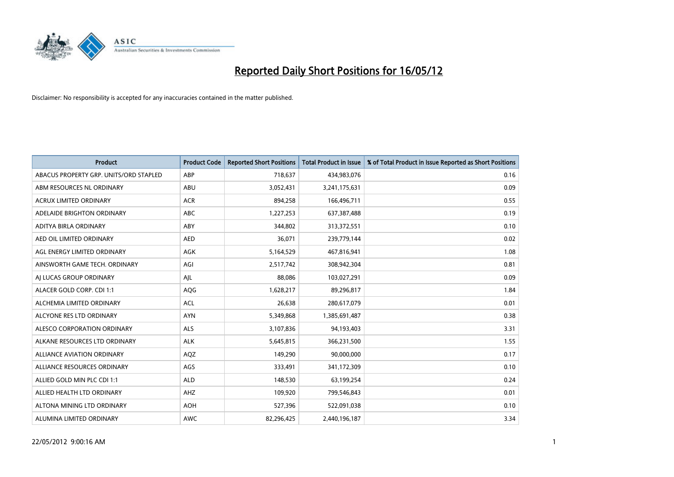

| <b>Product</b>                         | <b>Product Code</b> | <b>Reported Short Positions</b> | <b>Total Product in Issue</b> | % of Total Product in Issue Reported as Short Positions |
|----------------------------------------|---------------------|---------------------------------|-------------------------------|---------------------------------------------------------|
| ABACUS PROPERTY GRP. UNITS/ORD STAPLED | ABP                 | 718,637                         | 434,983,076                   | 0.16                                                    |
| ABM RESOURCES NL ORDINARY              | ABU                 | 3,052,431                       | 3,241,175,631                 | 0.09                                                    |
| <b>ACRUX LIMITED ORDINARY</b>          | <b>ACR</b>          | 894,258                         | 166,496,711                   | 0.55                                                    |
| ADELAIDE BRIGHTON ORDINARY             | <b>ABC</b>          | 1,227,253                       | 637, 387, 488                 | 0.19                                                    |
| ADITYA BIRLA ORDINARY                  | ABY                 | 344,802                         | 313,372,551                   | 0.10                                                    |
| AED OIL LIMITED ORDINARY               | <b>AED</b>          | 36,071                          | 239,779,144                   | 0.02                                                    |
| AGL ENERGY LIMITED ORDINARY            | AGK                 | 5,164,529                       | 467,816,941                   | 1.08                                                    |
| AINSWORTH GAME TECH. ORDINARY          | AGI                 | 2,517,742                       | 308,942,304                   | 0.81                                                    |
| AI LUCAS GROUP ORDINARY                | AJL                 | 88,086                          | 103,027,291                   | 0.09                                                    |
| ALACER GOLD CORP. CDI 1:1              | AQG                 | 1,628,217                       | 89,296,817                    | 1.84                                                    |
| ALCHEMIA LIMITED ORDINARY              | <b>ACL</b>          | 26,638                          | 280,617,079                   | 0.01                                                    |
| ALCYONE RES LTD ORDINARY               | <b>AYN</b>          | 5,349,868                       | 1,385,691,487                 | 0.38                                                    |
| ALESCO CORPORATION ORDINARY            | ALS                 | 3,107,836                       | 94,193,403                    | 3.31                                                    |
| ALKANE RESOURCES LTD ORDINARY          | <b>ALK</b>          | 5,645,815                       | 366,231,500                   | 1.55                                                    |
| <b>ALLIANCE AVIATION ORDINARY</b>      | AQZ                 | 149,290                         | 90,000,000                    | 0.17                                                    |
| ALLIANCE RESOURCES ORDINARY            | AGS                 | 333,491                         | 341,172,309                   | 0.10                                                    |
| ALLIED GOLD MIN PLC CDI 1:1            | <b>ALD</b>          | 148,530                         | 63,199,254                    | 0.24                                                    |
| ALLIED HEALTH LTD ORDINARY             | AHZ                 | 109,920                         | 799,546,843                   | 0.01                                                    |
| ALTONA MINING LTD ORDINARY             | <b>AOH</b>          | 527,396                         | 522,091,038                   | 0.10                                                    |
| ALUMINA LIMITED ORDINARY               | <b>AWC</b>          | 82,296,425                      | 2,440,196,187                 | 3.34                                                    |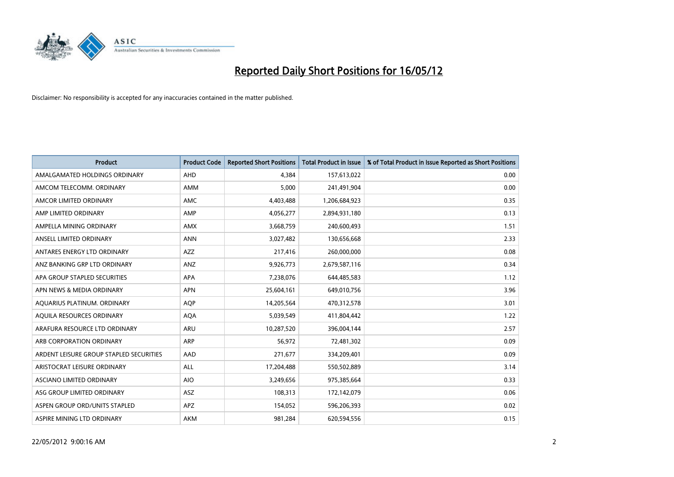

| <b>Product</b>                          | <b>Product Code</b> | <b>Reported Short Positions</b> | <b>Total Product in Issue</b> | % of Total Product in Issue Reported as Short Positions |
|-----------------------------------------|---------------------|---------------------------------|-------------------------------|---------------------------------------------------------|
| AMALGAMATED HOLDINGS ORDINARY           | AHD                 | 4,384                           | 157,613,022                   | 0.00                                                    |
| AMCOM TELECOMM, ORDINARY                | AMM                 | 5,000                           | 241,491,904                   | 0.00                                                    |
| AMCOR LIMITED ORDINARY                  | AMC                 | 4,403,488                       | 1,206,684,923                 | 0.35                                                    |
| AMP LIMITED ORDINARY                    | AMP                 | 4,056,277                       | 2,894,931,180                 | 0.13                                                    |
| AMPELLA MINING ORDINARY                 | <b>AMX</b>          | 3,668,759                       | 240,600,493                   | 1.51                                                    |
| ANSELL LIMITED ORDINARY                 | <b>ANN</b>          | 3,027,482                       | 130,656,668                   | 2.33                                                    |
| ANTARES ENERGY LTD ORDINARY             | AZZ                 | 217,416                         | 260,000,000                   | 0.08                                                    |
| ANZ BANKING GRP LTD ORDINARY            | ANZ                 | 9,926,773                       | 2,679,587,116                 | 0.34                                                    |
| APA GROUP STAPLED SECURITIES            | <b>APA</b>          | 7,238,076                       | 644,485,583                   | 1.12                                                    |
| APN NEWS & MEDIA ORDINARY               | <b>APN</b>          | 25,604,161                      | 649,010,756                   | 3.96                                                    |
| AQUARIUS PLATINUM. ORDINARY             | <b>AOP</b>          | 14,205,564                      | 470,312,578                   | 3.01                                                    |
| AQUILA RESOURCES ORDINARY               | <b>AQA</b>          | 5,039,549                       | 411,804,442                   | 1.22                                                    |
| ARAFURA RESOURCE LTD ORDINARY           | ARU                 | 10,287,520                      | 396,004,144                   | 2.57                                                    |
| ARB CORPORATION ORDINARY                | ARP                 | 56,972                          | 72,481,302                    | 0.09                                                    |
| ARDENT LEISURE GROUP STAPLED SECURITIES | AAD                 | 271,677                         | 334,209,401                   | 0.09                                                    |
| ARISTOCRAT LEISURE ORDINARY             | ALL                 | 17,204,488                      | 550,502,889                   | 3.14                                                    |
| ASCIANO LIMITED ORDINARY                | <b>AIO</b>          | 3,249,656                       | 975,385,664                   | 0.33                                                    |
| ASG GROUP LIMITED ORDINARY              | ASZ                 | 108,313                         | 172,142,079                   | 0.06                                                    |
| ASPEN GROUP ORD/UNITS STAPLED           | <b>APZ</b>          | 154,052                         | 596,206,393                   | 0.02                                                    |
| ASPIRE MINING LTD ORDINARY              | <b>AKM</b>          | 981,284                         | 620,594,556                   | 0.15                                                    |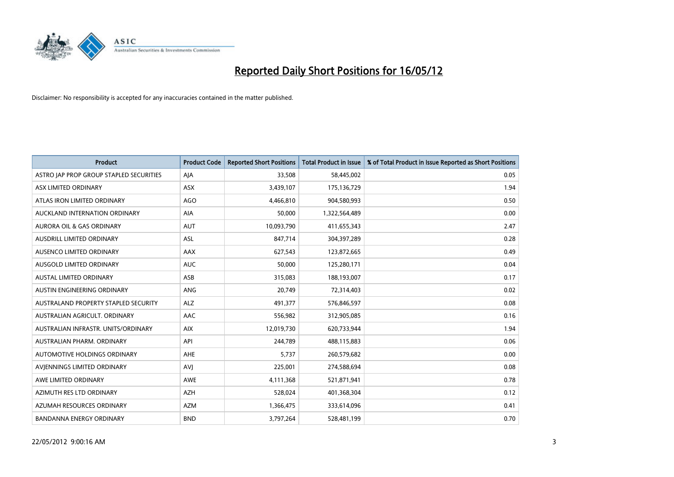

| <b>Product</b>                          | <b>Product Code</b> | <b>Reported Short Positions</b> | <b>Total Product in Issue</b> | % of Total Product in Issue Reported as Short Positions |
|-----------------------------------------|---------------------|---------------------------------|-------------------------------|---------------------------------------------------------|
| ASTRO JAP PROP GROUP STAPLED SECURITIES | AJA                 | 33,508                          | 58,445,002                    | 0.05                                                    |
| ASX LIMITED ORDINARY                    | ASX                 | 3,439,107                       | 175,136,729                   | 1.94                                                    |
| ATLAS IRON LIMITED ORDINARY             | AGO                 | 4,466,810                       | 904,580,993                   | 0.50                                                    |
| AUCKLAND INTERNATION ORDINARY           | AIA                 | 50,000                          | 1,322,564,489                 | 0.00                                                    |
| <b>AURORA OIL &amp; GAS ORDINARY</b>    | <b>AUT</b>          | 10,093,790                      | 411,655,343                   | 2.47                                                    |
| AUSDRILL LIMITED ORDINARY               | <b>ASL</b>          | 847,714                         | 304,397,289                   | 0.28                                                    |
| AUSENCO LIMITED ORDINARY                | AAX                 | 627,543                         | 123,872,665                   | 0.49                                                    |
| AUSGOLD LIMITED ORDINARY                | <b>AUC</b>          | 50,000                          | 125,280,171                   | 0.04                                                    |
| <b>AUSTAL LIMITED ORDINARY</b>          | ASB                 | 315,083                         | 188,193,007                   | 0.17                                                    |
| AUSTIN ENGINEERING ORDINARY             | ANG                 | 20,749                          | 72,314,403                    | 0.02                                                    |
| AUSTRALAND PROPERTY STAPLED SECURITY    | <b>ALZ</b>          | 491,377                         | 576,846,597                   | 0.08                                                    |
| AUSTRALIAN AGRICULT, ORDINARY           | AAC                 | 556,982                         | 312,905,085                   | 0.16                                                    |
| AUSTRALIAN INFRASTR. UNITS/ORDINARY     | <b>AIX</b>          | 12,019,730                      | 620,733,944                   | 1.94                                                    |
| AUSTRALIAN PHARM. ORDINARY              | API                 | 244,789                         | 488,115,883                   | 0.06                                                    |
| AUTOMOTIVE HOLDINGS ORDINARY            | AHE                 | 5,737                           | 260,579,682                   | 0.00                                                    |
| AVIENNINGS LIMITED ORDINARY             | <b>AVI</b>          | 225,001                         | 274,588,694                   | 0.08                                                    |
| AWE LIMITED ORDINARY                    | AWE                 | 4,111,368                       | 521,871,941                   | 0.78                                                    |
| AZIMUTH RES LTD ORDINARY                | <b>AZH</b>          | 528,024                         | 401,368,304                   | 0.12                                                    |
| AZUMAH RESOURCES ORDINARY               | AZM                 | 1,366,475                       | 333,614,096                   | 0.41                                                    |
| <b>BANDANNA ENERGY ORDINARY</b>         | <b>BND</b>          | 3,797,264                       | 528,481,199                   | 0.70                                                    |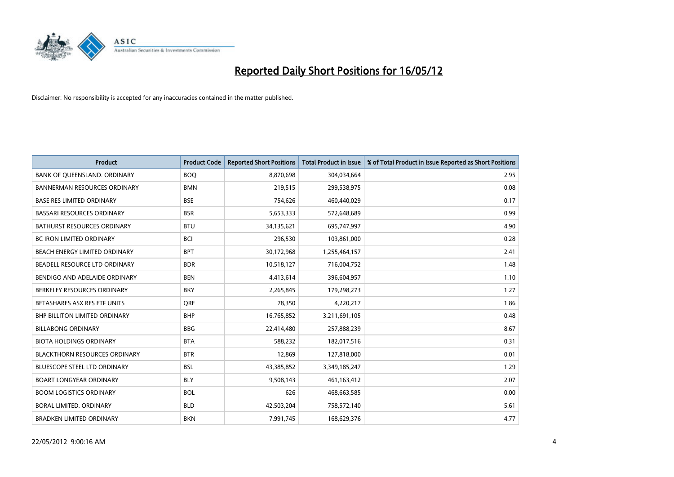

| <b>Product</b>                       | <b>Product Code</b> | <b>Reported Short Positions</b> | <b>Total Product in Issue</b> | % of Total Product in Issue Reported as Short Positions |
|--------------------------------------|---------------------|---------------------------------|-------------------------------|---------------------------------------------------------|
| BANK OF QUEENSLAND. ORDINARY         | <b>BOQ</b>          | 8,870,698                       | 304,034,664                   | 2.95                                                    |
| BANNERMAN RESOURCES ORDINARY         | <b>BMN</b>          | 219,515                         | 299,538,975                   | 0.08                                                    |
| <b>BASE RES LIMITED ORDINARY</b>     | <b>BSE</b>          | 754,626                         | 460,440,029                   | 0.17                                                    |
| <b>BASSARI RESOURCES ORDINARY</b>    | <b>BSR</b>          | 5,653,333                       | 572,648,689                   | 0.99                                                    |
| <b>BATHURST RESOURCES ORDINARY</b>   | <b>BTU</b>          | 34,135,621                      | 695,747,997                   | 4.90                                                    |
| <b>BC IRON LIMITED ORDINARY</b>      | <b>BCI</b>          | 296,530                         | 103,861,000                   | 0.28                                                    |
| BEACH ENERGY LIMITED ORDINARY        | <b>BPT</b>          | 30,172,968                      | 1,255,464,157                 | 2.41                                                    |
| BEADELL RESOURCE LTD ORDINARY        | <b>BDR</b>          | 10,518,127                      | 716,004,752                   | 1.48                                                    |
| BENDIGO AND ADELAIDE ORDINARY        | <b>BEN</b>          | 4,413,614                       | 396,604,957                   | 1.10                                                    |
| BERKELEY RESOURCES ORDINARY          | <b>BKY</b>          | 2,265,845                       | 179,298,273                   | 1.27                                                    |
| BETASHARES ASX RES ETF UNITS         | <b>ORE</b>          | 78,350                          | 4,220,217                     | 1.86                                                    |
| <b>BHP BILLITON LIMITED ORDINARY</b> | <b>BHP</b>          | 16,765,852                      | 3,211,691,105                 | 0.48                                                    |
| <b>BILLABONG ORDINARY</b>            | <b>BBG</b>          | 22,414,480                      | 257,888,239                   | 8.67                                                    |
| <b>BIOTA HOLDINGS ORDINARY</b>       | <b>BTA</b>          | 588,232                         | 182,017,516                   | 0.31                                                    |
| <b>BLACKTHORN RESOURCES ORDINARY</b> | <b>BTR</b>          | 12,869                          | 127,818,000                   | 0.01                                                    |
| BLUESCOPE STEEL LTD ORDINARY         | <b>BSL</b>          | 43,385,852                      | 3,349,185,247                 | 1.29                                                    |
| <b>BOART LONGYEAR ORDINARY</b>       | <b>BLY</b>          | 9,508,143                       | 461,163,412                   | 2.07                                                    |
| <b>BOOM LOGISTICS ORDINARY</b>       | <b>BOL</b>          | 626                             | 468,663,585                   | 0.00                                                    |
| <b>BORAL LIMITED, ORDINARY</b>       | <b>BLD</b>          | 42,503,204                      | 758,572,140                   | 5.61                                                    |
| <b>BRADKEN LIMITED ORDINARY</b>      | <b>BKN</b>          | 7,991,745                       | 168,629,376                   | 4.77                                                    |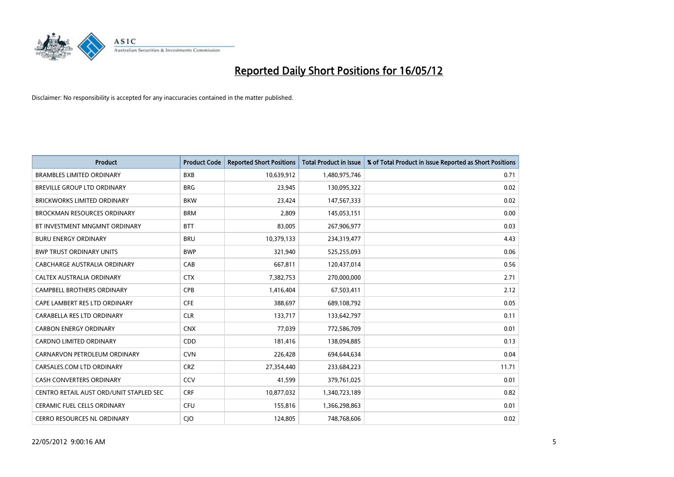

| <b>Product</b>                          | <b>Product Code</b> | <b>Reported Short Positions</b> | <b>Total Product in Issue</b> | % of Total Product in Issue Reported as Short Positions |
|-----------------------------------------|---------------------|---------------------------------|-------------------------------|---------------------------------------------------------|
| <b>BRAMBLES LIMITED ORDINARY</b>        | <b>BXB</b>          | 10,639,912                      | 1,480,975,746                 | 0.71                                                    |
| BREVILLE GROUP LTD ORDINARY             | <b>BRG</b>          | 23,945                          | 130,095,322                   | 0.02                                                    |
| <b>BRICKWORKS LIMITED ORDINARY</b>      | <b>BKW</b>          | 23,424                          | 147,567,333                   | 0.02                                                    |
| <b>BROCKMAN RESOURCES ORDINARY</b>      | <b>BRM</b>          | 2,809                           | 145,053,151                   | 0.00                                                    |
| BT INVESTMENT MNGMNT ORDINARY           | <b>BTT</b>          | 83,005                          | 267,906,977                   | 0.03                                                    |
| <b>BURU ENERGY ORDINARY</b>             | <b>BRU</b>          | 10,379,133                      | 234,319,477                   | 4.43                                                    |
| <b>BWP TRUST ORDINARY UNITS</b>         | <b>BWP</b>          | 321,940                         | 525,255,093                   | 0.06                                                    |
| <b>CABCHARGE AUSTRALIA ORDINARY</b>     | CAB                 | 667,811                         | 120,437,014                   | 0.56                                                    |
| CALTEX AUSTRALIA ORDINARY               | <b>CTX</b>          | 7,382,753                       | 270,000,000                   | 2.71                                                    |
| <b>CAMPBELL BROTHERS ORDINARY</b>       | <b>CPB</b>          | 1,416,404                       | 67,503,411                    | 2.12                                                    |
| CAPE LAMBERT RES LTD ORDINARY           | <b>CFE</b>          | 388,697                         | 689,108,792                   | 0.05                                                    |
| CARABELLA RES LTD ORDINARY              | <b>CLR</b>          | 133,717                         | 133,642,797                   | 0.11                                                    |
| <b>CARBON ENERGY ORDINARY</b>           | <b>CNX</b>          | 77,039                          | 772,586,709                   | 0.01                                                    |
| <b>CARDNO LIMITED ORDINARY</b>          | CDD                 | 181,416                         | 138,094,885                   | 0.13                                                    |
| CARNARVON PETROLEUM ORDINARY            | <b>CVN</b>          | 226,428                         | 694,644,634                   | 0.04                                                    |
| CARSALES.COM LTD ORDINARY               | <b>CRZ</b>          | 27,354,440                      | 233,684,223                   | 11.71                                                   |
| CASH CONVERTERS ORDINARY                | CCV                 | 41,599                          | 379,761,025                   | 0.01                                                    |
| CENTRO RETAIL AUST ORD/UNIT STAPLED SEC | <b>CRF</b>          | 10,877,032                      | 1,340,723,189                 | 0.82                                                    |
| <b>CERAMIC FUEL CELLS ORDINARY</b>      | <b>CFU</b>          | 155,816                         | 1,366,298,863                 | 0.01                                                    |
| CERRO RESOURCES NL ORDINARY             | CJO                 | 124,805                         | 748,768,606                   | 0.02                                                    |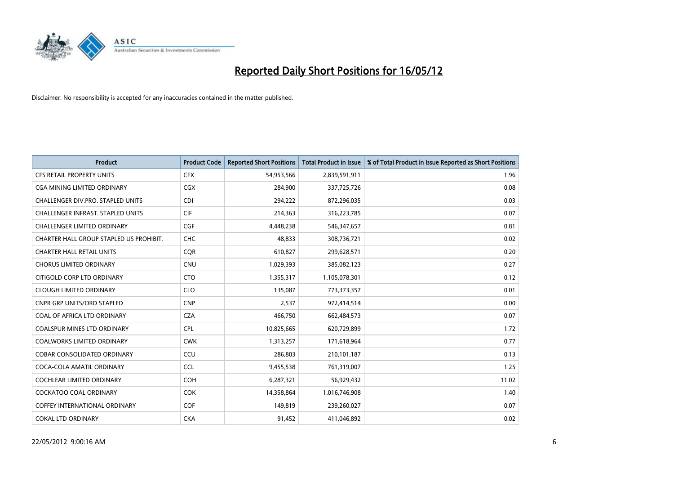

| <b>Product</b>                           | <b>Product Code</b> | <b>Reported Short Positions</b> | <b>Total Product in Issue</b> | % of Total Product in Issue Reported as Short Positions |
|------------------------------------------|---------------------|---------------------------------|-------------------------------|---------------------------------------------------------|
| <b>CFS RETAIL PROPERTY UNITS</b>         | <b>CFX</b>          | 54,953,566                      | 2,839,591,911                 | 1.96                                                    |
| CGA MINING LIMITED ORDINARY              | <b>CGX</b>          | 284,900                         | 337,725,726                   | 0.08                                                    |
| CHALLENGER DIV.PRO. STAPLED UNITS        | <b>CDI</b>          | 294,222                         | 872,296,035                   | 0.03                                                    |
| <b>CHALLENGER INFRAST, STAPLED UNITS</b> | <b>CIF</b>          | 214,363                         | 316,223,785                   | 0.07                                                    |
| <b>CHALLENGER LIMITED ORDINARY</b>       | <b>CGF</b>          | 4,448,238                       | 546,347,657                   | 0.81                                                    |
| CHARTER HALL GROUP STAPLED US PROHIBIT.  | <b>CHC</b>          | 48,833                          | 308,736,721                   | 0.02                                                    |
| <b>CHARTER HALL RETAIL UNITS</b>         | <b>COR</b>          | 610,827                         | 299,628,571                   | 0.20                                                    |
| <b>CHORUS LIMITED ORDINARY</b>           | <b>CNU</b>          | 1,029,393                       | 385,082,123                   | 0.27                                                    |
| CITIGOLD CORP LTD ORDINARY               | <b>CTO</b>          | 1,355,317                       | 1,105,078,301                 | 0.12                                                    |
| <b>CLOUGH LIMITED ORDINARY</b>           | <b>CLO</b>          | 135,087                         | 773,373,357                   | 0.01                                                    |
| CNPR GRP UNITS/ORD STAPLED               | <b>CNP</b>          | 2,537                           | 972,414,514                   | 0.00                                                    |
| COAL OF AFRICA LTD ORDINARY              | <b>CZA</b>          | 466,750                         | 662,484,573                   | 0.07                                                    |
| <b>COALSPUR MINES LTD ORDINARY</b>       | <b>CPL</b>          | 10,825,665                      | 620,729,899                   | 1.72                                                    |
| <b>COALWORKS LIMITED ORDINARY</b>        | <b>CWK</b>          | 1,313,257                       | 171,618,964                   | 0.77                                                    |
| <b>COBAR CONSOLIDATED ORDINARY</b>       | CCU                 | 286,803                         | 210,101,187                   | 0.13                                                    |
| COCA-COLA AMATIL ORDINARY                | <b>CCL</b>          | 9,455,538                       | 761,319,007                   | 1.25                                                    |
| COCHLEAR LIMITED ORDINARY                | <b>COH</b>          | 6,287,321                       | 56,929,432                    | 11.02                                                   |
| <b>COCKATOO COAL ORDINARY</b>            | <b>COK</b>          | 14,358,864                      | 1,016,746,908                 | 1.40                                                    |
| <b>COFFEY INTERNATIONAL ORDINARY</b>     | <b>COF</b>          | 149,819                         | 239,260,027                   | 0.07                                                    |
| <b>COKAL LTD ORDINARY</b>                | <b>CKA</b>          | 91,452                          | 411,046,892                   | 0.02                                                    |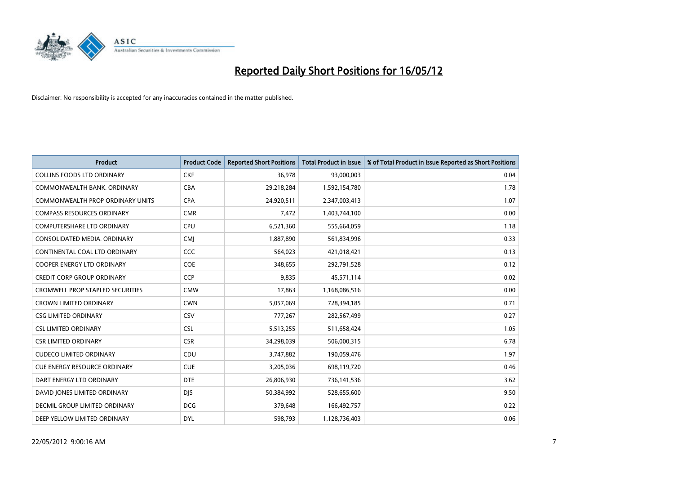

| <b>Product</b>                          | <b>Product Code</b> | <b>Reported Short Positions</b> | <b>Total Product in Issue</b> | % of Total Product in Issue Reported as Short Positions |
|-----------------------------------------|---------------------|---------------------------------|-------------------------------|---------------------------------------------------------|
| <b>COLLINS FOODS LTD ORDINARY</b>       | <b>CKF</b>          | 36,978                          | 93,000,003                    | 0.04                                                    |
| COMMONWEALTH BANK, ORDINARY             | <b>CBA</b>          | 29,218,284                      | 1,592,154,780                 | 1.78                                                    |
| <b>COMMONWEALTH PROP ORDINARY UNITS</b> | <b>CPA</b>          | 24,920,511                      | 2,347,003,413                 | 1.07                                                    |
| <b>COMPASS RESOURCES ORDINARY</b>       | <b>CMR</b>          | 7,472                           | 1,403,744,100                 | 0.00                                                    |
| <b>COMPUTERSHARE LTD ORDINARY</b>       | <b>CPU</b>          | 6,521,360                       | 555,664,059                   | 1.18                                                    |
| CONSOLIDATED MEDIA, ORDINARY            | <b>CMI</b>          | 1,887,890                       | 561,834,996                   | 0.33                                                    |
| CONTINENTAL COAL LTD ORDINARY           | CCC                 | 564,023                         | 421,018,421                   | 0.13                                                    |
| COOPER ENERGY LTD ORDINARY              | <b>COE</b>          | 348,655                         | 292,791,528                   | 0.12                                                    |
| <b>CREDIT CORP GROUP ORDINARY</b>       | CCP                 | 9,835                           | 45,571,114                    | 0.02                                                    |
| <b>CROMWELL PROP STAPLED SECURITIES</b> | <b>CMW</b>          | 17,863                          | 1,168,086,516                 | 0.00                                                    |
| <b>CROWN LIMITED ORDINARY</b>           | <b>CWN</b>          | 5,057,069                       | 728,394,185                   | 0.71                                                    |
| <b>CSG LIMITED ORDINARY</b>             | CSV                 | 777,267                         | 282,567,499                   | 0.27                                                    |
| <b>CSL LIMITED ORDINARY</b>             | <b>CSL</b>          | 5,513,255                       | 511,658,424                   | 1.05                                                    |
| <b>CSR LIMITED ORDINARY</b>             | <b>CSR</b>          | 34,298,039                      | 506,000,315                   | 6.78                                                    |
| <b>CUDECO LIMITED ORDINARY</b>          | CDU                 | 3,747,882                       | 190,059,476                   | 1.97                                                    |
| <b>CUE ENERGY RESOURCE ORDINARY</b>     | <b>CUE</b>          | 3,205,036                       | 698,119,720                   | 0.46                                                    |
| DART ENERGY LTD ORDINARY                | <b>DTE</b>          | 26,806,930                      | 736,141,536                   | 3.62                                                    |
| DAVID JONES LIMITED ORDINARY            | <b>DJS</b>          | 50,384,992                      | 528,655,600                   | 9.50                                                    |
| DECMIL GROUP LIMITED ORDINARY           | <b>DCG</b>          | 379,648                         | 166,492,757                   | 0.22                                                    |
| DEEP YELLOW LIMITED ORDINARY            | <b>DYL</b>          | 598,793                         | 1,128,736,403                 | 0.06                                                    |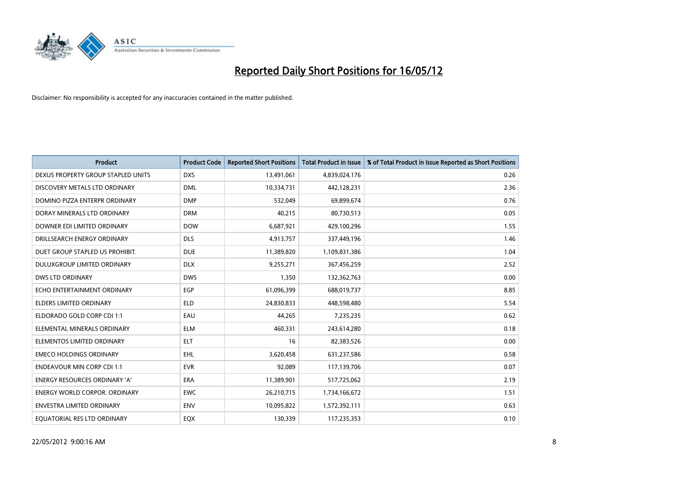

| <b>Product</b>                       | <b>Product Code</b> | <b>Reported Short Positions</b> | <b>Total Product in Issue</b> | % of Total Product in Issue Reported as Short Positions |
|--------------------------------------|---------------------|---------------------------------|-------------------------------|---------------------------------------------------------|
| DEXUS PROPERTY GROUP STAPLED UNITS   | <b>DXS</b>          | 13,491,061                      | 4,839,024,176                 | 0.26                                                    |
| DISCOVERY METALS LTD ORDINARY        | <b>DML</b>          | 10,334,731                      | 442,128,231                   | 2.36                                                    |
| DOMINO PIZZA ENTERPR ORDINARY        | <b>DMP</b>          | 532,049                         | 69,899,674                    | 0.76                                                    |
| DORAY MINERALS LTD ORDINARY          | <b>DRM</b>          | 40,215                          | 80,730,513                    | 0.05                                                    |
| DOWNER EDI LIMITED ORDINARY          | <b>DOW</b>          | 6,687,921                       | 429,100,296                   | 1.55                                                    |
| DRILLSEARCH ENERGY ORDINARY          | <b>DLS</b>          | 4,913,757                       | 337,449,196                   | 1.46                                                    |
| DUET GROUP STAPLED US PROHIBIT.      | <b>DUE</b>          | 11,389,820                      | 1,109,831,386                 | 1.04                                                    |
| DULUXGROUP LIMITED ORDINARY          | <b>DLX</b>          | 9,255,271                       | 367,456,259                   | 2.52                                                    |
| <b>DWS LTD ORDINARY</b>              | <b>DWS</b>          | 1,350                           | 132,362,763                   | 0.00                                                    |
| ECHO ENTERTAINMENT ORDINARY          | <b>EGP</b>          | 61,096,399                      | 688,019,737                   | 8.85                                                    |
| ELDERS LIMITED ORDINARY              | <b>ELD</b>          | 24,830,833                      | 448,598,480                   | 5.54                                                    |
| ELDORADO GOLD CORP CDI 1:1           | EAU                 | 44,265                          | 7,235,235                     | 0.62                                                    |
| ELEMENTAL MINERALS ORDINARY          | <b>ELM</b>          | 460,331                         | 243,614,280                   | 0.18                                                    |
| ELEMENTOS LIMITED ORDINARY           | <b>ELT</b>          | 16                              | 82,383,526                    | 0.00                                                    |
| <b>EMECO HOLDINGS ORDINARY</b>       | <b>EHL</b>          | 3,620,458                       | 631,237,586                   | 0.58                                                    |
| <b>ENDEAVOUR MIN CORP CDI 1:1</b>    | <b>EVR</b>          | 92,089                          | 117,139,706                   | 0.07                                                    |
| ENERGY RESOURCES ORDINARY 'A'        | ERA                 | 11,389,901                      | 517,725,062                   | 2.19                                                    |
| <b>ENERGY WORLD CORPOR. ORDINARY</b> | <b>EWC</b>          | 26,210,715                      | 1,734,166,672                 | 1.51                                                    |
| <b>ENVESTRA LIMITED ORDINARY</b>     | <b>ENV</b>          | 10,095,822                      | 1,572,392,111                 | 0.63                                                    |
| EQUATORIAL RES LTD ORDINARY          | EQX                 | 130,339                         | 117,235,353                   | 0.10                                                    |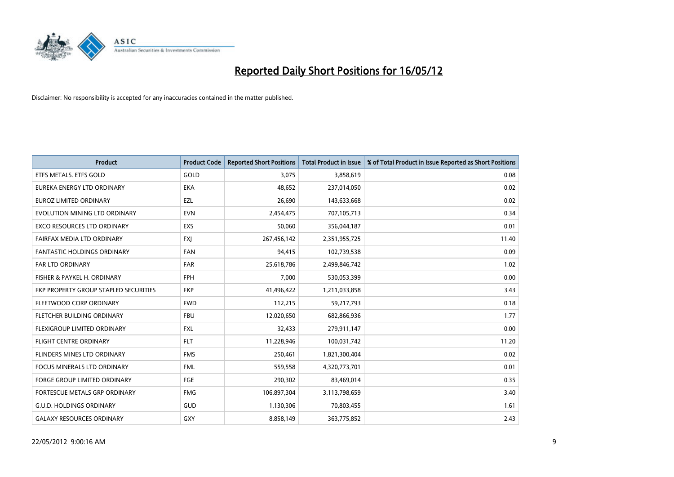

| <b>Product</b>                        | <b>Product Code</b> | <b>Reported Short Positions</b> | <b>Total Product in Issue</b> | % of Total Product in Issue Reported as Short Positions |
|---------------------------------------|---------------------|---------------------------------|-------------------------------|---------------------------------------------------------|
| ETFS METALS. ETFS GOLD                | GOLD                | 3,075                           | 3,858,619                     | 0.08                                                    |
| EUREKA ENERGY LTD ORDINARY            | <b>EKA</b>          | 48,652                          | 237,014,050                   | 0.02                                                    |
| EUROZ LIMITED ORDINARY                | EZL                 | 26,690                          | 143,633,668                   | 0.02                                                    |
| EVOLUTION MINING LTD ORDINARY         | <b>EVN</b>          | 2,454,475                       | 707,105,713                   | 0.34                                                    |
| <b>EXCO RESOURCES LTD ORDINARY</b>    | <b>EXS</b>          | 50,060                          | 356,044,187                   | 0.01                                                    |
| FAIRFAX MEDIA LTD ORDINARY            | <b>FXI</b>          | 267,456,142                     | 2,351,955,725                 | 11.40                                                   |
| <b>FANTASTIC HOLDINGS ORDINARY</b>    | <b>FAN</b>          | 94,415                          | 102,739,538                   | 0.09                                                    |
| FAR LTD ORDINARY                      | <b>FAR</b>          | 25,618,786                      | 2,499,846,742                 | 1.02                                                    |
| FISHER & PAYKEL H. ORDINARY           | <b>FPH</b>          | 7,000                           | 530,053,399                   | 0.00                                                    |
| FKP PROPERTY GROUP STAPLED SECURITIES | <b>FKP</b>          | 41,496,422                      | 1,211,033,858                 | 3.43                                                    |
| FLEETWOOD CORP ORDINARY               | <b>FWD</b>          | 112,215                         | 59,217,793                    | 0.18                                                    |
| FLETCHER BUILDING ORDINARY            | <b>FBU</b>          | 12,020,650                      | 682,866,936                   | 1.77                                                    |
| FLEXIGROUP LIMITED ORDINARY           | FXL                 | 32,433                          | 279,911,147                   | 0.00                                                    |
| <b>FLIGHT CENTRE ORDINARY</b>         | <b>FLT</b>          | 11,228,946                      | 100,031,742                   | 11.20                                                   |
| FLINDERS MINES LTD ORDINARY           | <b>FMS</b>          | 250,461                         | 1,821,300,404                 | 0.02                                                    |
| <b>FOCUS MINERALS LTD ORDINARY</b>    | <b>FML</b>          | 559,558                         | 4,320,773,701                 | 0.01                                                    |
| FORGE GROUP LIMITED ORDINARY          | FGE                 | 290,302                         | 83,469,014                    | 0.35                                                    |
| FORTESCUE METALS GRP ORDINARY         | <b>FMG</b>          | 106,897,304                     | 3,113,798,659                 | 3.40                                                    |
| <b>G.U.D. HOLDINGS ORDINARY</b>       | GUD                 | 1,130,306                       | 70,803,455                    | 1.61                                                    |
| <b>GALAXY RESOURCES ORDINARY</b>      | <b>GXY</b>          | 8,858,149                       | 363,775,852                   | 2.43                                                    |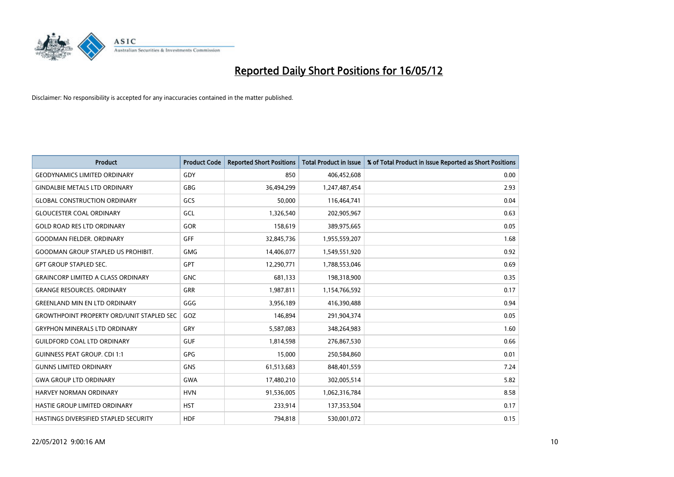

| Product                                          | <b>Product Code</b> | <b>Reported Short Positions</b> | <b>Total Product in Issue</b> | % of Total Product in Issue Reported as Short Positions |
|--------------------------------------------------|---------------------|---------------------------------|-------------------------------|---------------------------------------------------------|
| <b>GEODYNAMICS LIMITED ORDINARY</b>              | GDY                 | 850                             | 406,452,608                   | 0.00                                                    |
| <b>GINDALBIE METALS LTD ORDINARY</b>             | <b>GBG</b>          | 36,494,299                      | 1,247,487,454                 | 2.93                                                    |
| <b>GLOBAL CONSTRUCTION ORDINARY</b>              | GCS                 | 50,000                          | 116,464,741                   | 0.04                                                    |
| <b>GLOUCESTER COAL ORDINARY</b>                  | GCL                 | 1,326,540                       | 202,905,967                   | 0.63                                                    |
| <b>GOLD ROAD RES LTD ORDINARY</b>                | GOR                 | 158,619                         | 389,975,665                   | 0.05                                                    |
| <b>GOODMAN FIELDER, ORDINARY</b>                 | <b>GFF</b>          | 32,845,736                      | 1,955,559,207                 | 1.68                                                    |
| <b>GOODMAN GROUP STAPLED US PROHIBIT.</b>        | <b>GMG</b>          | 14,406,077                      | 1,549,551,920                 | 0.92                                                    |
| <b>GPT GROUP STAPLED SEC.</b>                    | GPT                 | 12,290,771                      | 1,788,553,046                 | 0.69                                                    |
| <b>GRAINCORP LIMITED A CLASS ORDINARY</b>        | <b>GNC</b>          | 681,133                         | 198,318,900                   | 0.35                                                    |
| <b>GRANGE RESOURCES, ORDINARY</b>                | <b>GRR</b>          | 1,987,811                       | 1,154,766,592                 | 0.17                                                    |
| <b>GREENLAND MIN EN LTD ORDINARY</b>             | GGG                 | 3,956,189                       | 416,390,488                   | 0.94                                                    |
| <b>GROWTHPOINT PROPERTY ORD/UNIT STAPLED SEC</b> | GOZ                 | 146,894                         | 291,904,374                   | 0.05                                                    |
| <b>GRYPHON MINERALS LTD ORDINARY</b>             | GRY                 | 5,587,083                       | 348,264,983                   | 1.60                                                    |
| <b>GUILDFORD COAL LTD ORDINARY</b>               | <b>GUF</b>          | 1,814,598                       | 276,867,530                   | 0.66                                                    |
| <b>GUINNESS PEAT GROUP. CDI 1:1</b>              | <b>GPG</b>          | 15,000                          | 250,584,860                   | 0.01                                                    |
| <b>GUNNS LIMITED ORDINARY</b>                    | <b>GNS</b>          | 61,513,683                      | 848,401,559                   | 7.24                                                    |
| <b>GWA GROUP LTD ORDINARY</b>                    | GWA                 | 17,480,210                      | 302,005,514                   | 5.82                                                    |
| <b>HARVEY NORMAN ORDINARY</b>                    | <b>HVN</b>          | 91,536,005                      | 1,062,316,784                 | 8.58                                                    |
| HASTIE GROUP LIMITED ORDINARY                    | <b>HST</b>          | 233,914                         | 137,353,504                   | 0.17                                                    |
| HASTINGS DIVERSIFIED STAPLED SECURITY            | <b>HDF</b>          | 794,818                         | 530,001,072                   | 0.15                                                    |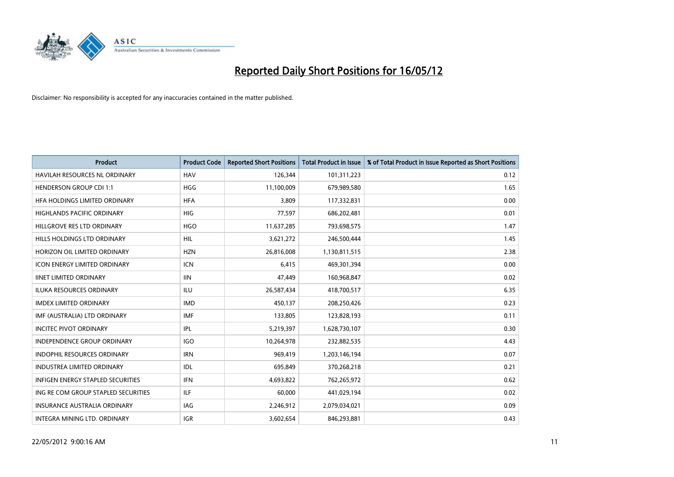

| <b>Product</b>                           | <b>Product Code</b> | <b>Reported Short Positions</b> | <b>Total Product in Issue</b> | % of Total Product in Issue Reported as Short Positions |
|------------------------------------------|---------------------|---------------------------------|-------------------------------|---------------------------------------------------------|
| <b>HAVILAH RESOURCES NL ORDINARY</b>     | <b>HAV</b>          | 126,344                         | 101,311,223                   | 0.12                                                    |
| <b>HENDERSON GROUP CDI 1:1</b>           | <b>HGG</b>          | 11,100,009                      | 679,989,580                   | 1.65                                                    |
| HFA HOLDINGS LIMITED ORDINARY            | <b>HFA</b>          | 3,809                           | 117,332,831                   | 0.00                                                    |
| <b>HIGHLANDS PACIFIC ORDINARY</b>        | <b>HIG</b>          | 77,597                          | 686,202,481                   | 0.01                                                    |
| HILLGROVE RES LTD ORDINARY               | <b>HGO</b>          | 11,637,285                      | 793,698,575                   | 1.47                                                    |
| <b>HILLS HOLDINGS LTD ORDINARY</b>       | <b>HIL</b>          | 3,621,272                       | 246,500,444                   | 1.45                                                    |
| HORIZON OIL LIMITED ORDINARY             | <b>HZN</b>          | 26,816,008                      | 1,130,811,515                 | 2.38                                                    |
| <b>ICON ENERGY LIMITED ORDINARY</b>      | <b>ICN</b>          | 6,415                           | 469,301,394                   | 0.00                                                    |
| <b>IINET LIMITED ORDINARY</b>            | <b>IIN</b>          | 47,449                          | 160,968,847                   | 0.02                                                    |
| <b>ILUKA RESOURCES ORDINARY</b>          | ILU                 | 26,587,434                      | 418,700,517                   | 6.35                                                    |
| <b>IMDEX LIMITED ORDINARY</b>            | <b>IMD</b>          | 450,137                         | 208,250,426                   | 0.23                                                    |
| IMF (AUSTRALIA) LTD ORDINARY             | IMF                 | 133,805                         | 123,828,193                   | 0.11                                                    |
| <b>INCITEC PIVOT ORDINARY</b>            | <b>IPL</b>          | 5,219,397                       | 1,628,730,107                 | 0.30                                                    |
| <b>INDEPENDENCE GROUP ORDINARY</b>       | <b>IGO</b>          | 10,264,978                      | 232,882,535                   | 4.43                                                    |
| <b>INDOPHIL RESOURCES ORDINARY</b>       | <b>IRN</b>          | 969,419                         | 1,203,146,194                 | 0.07                                                    |
| <b>INDUSTREA LIMITED ORDINARY</b>        | <b>IDL</b>          | 695,849                         | 370,268,218                   | 0.21                                                    |
| <b>INFIGEN ENERGY STAPLED SECURITIES</b> | <b>IFN</b>          | 4,693,822                       | 762,265,972                   | 0.62                                                    |
| ING RE COM GROUP STAPLED SECURITIES      | ILF                 | 60,000                          | 441,029,194                   | 0.02                                                    |
| <b>INSURANCE AUSTRALIA ORDINARY</b>      | IAG                 | 2,246,912                       | 2,079,034,021                 | 0.09                                                    |
| INTEGRA MINING LTD. ORDINARY             | <b>IGR</b>          | 3,602,654                       | 846,293,881                   | 0.43                                                    |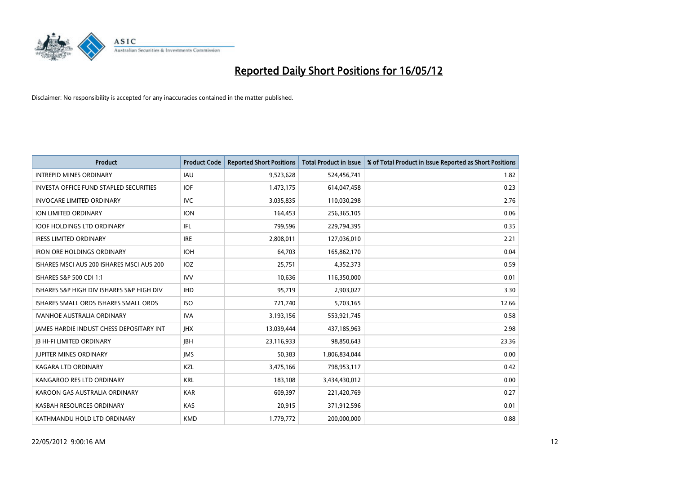

| <b>Product</b>                                  | <b>Product Code</b> | <b>Reported Short Positions</b> | <b>Total Product in Issue</b> | % of Total Product in Issue Reported as Short Positions |
|-------------------------------------------------|---------------------|---------------------------------|-------------------------------|---------------------------------------------------------|
| <b>INTREPID MINES ORDINARY</b>                  | IAU                 | 9,523,628                       | 524,456,741                   | 1.82                                                    |
| <b>INVESTA OFFICE FUND STAPLED SECURITIES</b>   | <b>IOF</b>          | 1,473,175                       | 614,047,458                   | 0.23                                                    |
| <b>INVOCARE LIMITED ORDINARY</b>                | IVC                 | 3,035,835                       | 110,030,298                   | 2.76                                                    |
| ION LIMITED ORDINARY                            | <b>ION</b>          | 164,453                         | 256,365,105                   | 0.06                                                    |
| <b>IOOF HOLDINGS LTD ORDINARY</b>               | IFL                 | 799,596                         | 229,794,395                   | 0.35                                                    |
| <b>IRESS LIMITED ORDINARY</b>                   | <b>IRE</b>          | 2,808,011                       | 127,036,010                   | 2.21                                                    |
| <b>IRON ORE HOLDINGS ORDINARY</b>               | <b>IOH</b>          | 64,703                          | 165,862,170                   | 0.04                                                    |
| ISHARES MSCI AUS 200 ISHARES MSCI AUS 200       | IOZ                 | 25,751                          | 4,352,373                     | 0.59                                                    |
| ISHARES S&P 500 CDI 1:1                         | <b>IVV</b>          | 10,636                          | 116,350,000                   | 0.01                                                    |
| ISHARES S&P HIGH DIV ISHARES S&P HIGH DIV       | <b>IHD</b>          | 95,719                          | 2,903,027                     | 3.30                                                    |
| ISHARES SMALL ORDS ISHARES SMALL ORDS           | <b>ISO</b>          | 721,740                         | 5,703,165                     | 12.66                                                   |
| <b>IVANHOE AUSTRALIA ORDINARY</b>               | <b>IVA</b>          | 3,193,156                       | 553,921,745                   | 0.58                                                    |
| <b>IAMES HARDIE INDUST CHESS DEPOSITARY INT</b> | <b>IHX</b>          | 13,039,444                      | 437,185,963                   | 2.98                                                    |
| <b>IB HI-FI LIMITED ORDINARY</b>                | <b>IBH</b>          | 23,116,933                      | 98,850,643                    | 23.36                                                   |
| <b>JUPITER MINES ORDINARY</b>                   | <b>IMS</b>          | 50,383                          | 1,806,834,044                 | 0.00                                                    |
| <b>KAGARA LTD ORDINARY</b>                      | KZL                 | 3,475,166                       | 798,953,117                   | 0.42                                                    |
| KANGAROO RES LTD ORDINARY                       | <b>KRL</b>          | 183,108                         | 3,434,430,012                 | 0.00                                                    |
| KAROON GAS AUSTRALIA ORDINARY                   | <b>KAR</b>          | 609,397                         | 221,420,769                   | 0.27                                                    |
| KASBAH RESOURCES ORDINARY                       | <b>KAS</b>          | 20,915                          | 371,912,596                   | 0.01                                                    |
| KATHMANDU HOLD LTD ORDINARY                     | <b>KMD</b>          | 1,779,772                       | 200,000,000                   | 0.88                                                    |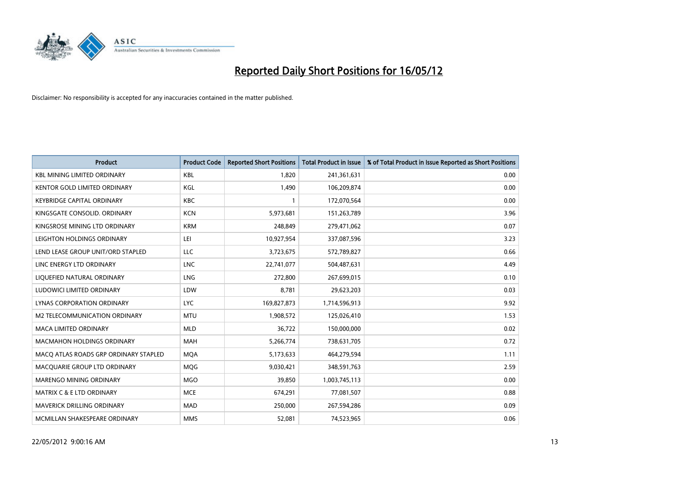

| <b>Product</b>                        | <b>Product Code</b> | <b>Reported Short Positions</b> | <b>Total Product in Issue</b> | % of Total Product in Issue Reported as Short Positions |
|---------------------------------------|---------------------|---------------------------------|-------------------------------|---------------------------------------------------------|
| <b>KBL MINING LIMITED ORDINARY</b>    | <b>KBL</b>          | 1,820                           | 241,361,631                   | 0.00                                                    |
| KENTOR GOLD LIMITED ORDINARY          | KGL                 | 1,490                           | 106,209,874                   | 0.00                                                    |
| <b>KEYBRIDGE CAPITAL ORDINARY</b>     | <b>KBC</b>          | $\mathbf{1}$                    | 172,070,564                   | 0.00                                                    |
| KINGSGATE CONSOLID. ORDINARY          | <b>KCN</b>          | 5,973,681                       | 151,263,789                   | 3.96                                                    |
| KINGSROSE MINING LTD ORDINARY         | <b>KRM</b>          | 248,849                         | 279,471,062                   | 0.07                                                    |
| LEIGHTON HOLDINGS ORDINARY            | LEI                 | 10,927,954                      | 337,087,596                   | 3.23                                                    |
| LEND LEASE GROUP UNIT/ORD STAPLED     | <b>LLC</b>          | 3,723,675                       | 572,789,827                   | 0.66                                                    |
| LINC ENERGY LTD ORDINARY              | <b>LNC</b>          | 22,741,077                      | 504,487,631                   | 4.49                                                    |
| LIQUEFIED NATURAL ORDINARY            | LNG                 | 272,800                         | 267,699,015                   | 0.10                                                    |
| LUDOWICI LIMITED ORDINARY             | LDW                 | 8,781                           | 29,623,203                    | 0.03                                                    |
| LYNAS CORPORATION ORDINARY            | <b>LYC</b>          | 169,827,873                     | 1,714,596,913                 | 9.92                                                    |
| <b>M2 TELECOMMUNICATION ORDINARY</b>  | <b>MTU</b>          | 1,908,572                       | 125,026,410                   | 1.53                                                    |
| <b>MACA LIMITED ORDINARY</b>          | <b>MLD</b>          | 36,722                          | 150,000,000                   | 0.02                                                    |
| <b>MACMAHON HOLDINGS ORDINARY</b>     | MAH                 | 5,266,774                       | 738,631,705                   | 0.72                                                    |
| MACO ATLAS ROADS GRP ORDINARY STAPLED | <b>MQA</b>          | 5,173,633                       | 464,279,594                   | 1.11                                                    |
| MACQUARIE GROUP LTD ORDINARY          | <b>MOG</b>          | 9,030,421                       | 348,591,763                   | 2.59                                                    |
| MARENGO MINING ORDINARY               | <b>MGO</b>          | 39,850                          | 1,003,745,113                 | 0.00                                                    |
| <b>MATRIX C &amp; E LTD ORDINARY</b>  | <b>MCE</b>          | 674,291                         | 77,081,507                    | 0.88                                                    |
| MAVERICK DRILLING ORDINARY            | <b>MAD</b>          | 250,000                         | 267,594,286                   | 0.09                                                    |
| MCMILLAN SHAKESPEARE ORDINARY         | <b>MMS</b>          | 52,081                          | 74,523,965                    | 0.06                                                    |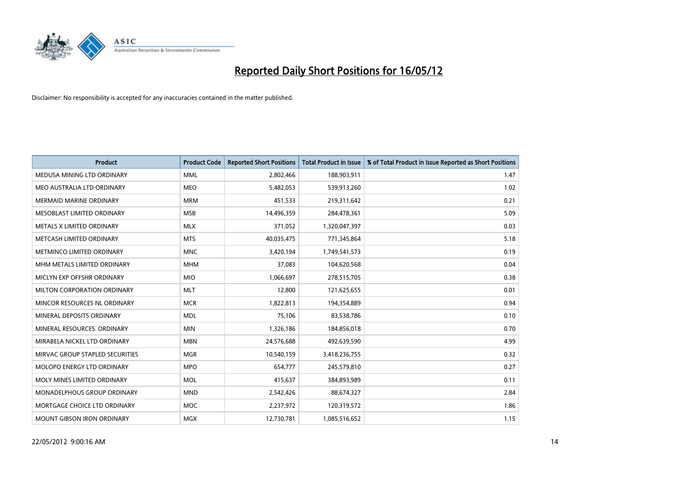

| <b>Product</b>                  | <b>Product Code</b> | <b>Reported Short Positions</b> | <b>Total Product in Issue</b> | % of Total Product in Issue Reported as Short Positions |
|---------------------------------|---------------------|---------------------------------|-------------------------------|---------------------------------------------------------|
| MEDUSA MINING LTD ORDINARY      | <b>MML</b>          | 2,802,466                       | 188,903,911                   | 1.47                                                    |
| MEO AUSTRALIA LTD ORDINARY      | <b>MEO</b>          | 5,482,053                       | 539,913,260                   | 1.02                                                    |
| <b>MERMAID MARINE ORDINARY</b>  | <b>MRM</b>          | 451,533                         | 219,311,642                   | 0.21                                                    |
| MESOBLAST LIMITED ORDINARY      | <b>MSB</b>          | 14,496,359                      | 284,478,361                   | 5.09                                                    |
| METALS X LIMITED ORDINARY       | <b>MLX</b>          | 371,052                         | 1,320,047,397                 | 0.03                                                    |
| METCASH LIMITED ORDINARY        | <b>MTS</b>          | 40,035,475                      | 771,345,864                   | 5.18                                                    |
| METMINCO LIMITED ORDINARY       | <b>MNC</b>          | 3,420,194                       | 1,749,541,573                 | 0.19                                                    |
| MHM METALS LIMITED ORDINARY     | <b>MHM</b>          | 37,083                          | 104,620,568                   | 0.04                                                    |
| MICLYN EXP OFFSHR ORDINARY      | <b>MIO</b>          | 1,066,697                       | 278,515,705                   | 0.38                                                    |
| MILTON CORPORATION ORDINARY     | <b>MLT</b>          | 12,800                          | 121,625,655                   | 0.01                                                    |
| MINCOR RESOURCES NL ORDINARY    | <b>MCR</b>          | 1,822,813                       | 194,354,889                   | 0.94                                                    |
| MINERAL DEPOSITS ORDINARY       | <b>MDL</b>          | 75,106                          | 83,538,786                    | 0.10                                                    |
| MINERAL RESOURCES. ORDINARY     | <b>MIN</b>          | 1,326,186                       | 184,856,018                   | 0.70                                                    |
| MIRABELA NICKEL LTD ORDINARY    | <b>MBN</b>          | 24,576,688                      | 492,639,590                   | 4.99                                                    |
| MIRVAC GROUP STAPLED SECURITIES | <b>MGR</b>          | 10,540,159                      | 3,418,236,755                 | 0.32                                                    |
| MOLOPO ENERGY LTD ORDINARY      | <b>MPO</b>          | 654,777                         | 245,579,810                   | 0.27                                                    |
| MOLY MINES LIMITED ORDINARY     | <b>MOL</b>          | 415,637                         | 384,893,989                   | 0.11                                                    |
| MONADELPHOUS GROUP ORDINARY     | <b>MND</b>          | 2,542,426                       | 88,674,327                    | 2.84                                                    |
| MORTGAGE CHOICE LTD ORDINARY    | <b>MOC</b>          | 2,237,972                       | 120,319,572                   | 1.86                                                    |
| MOUNT GIBSON IRON ORDINARY      | <b>MGX</b>          | 12,730,781                      | 1,085,516,652                 | 1.15                                                    |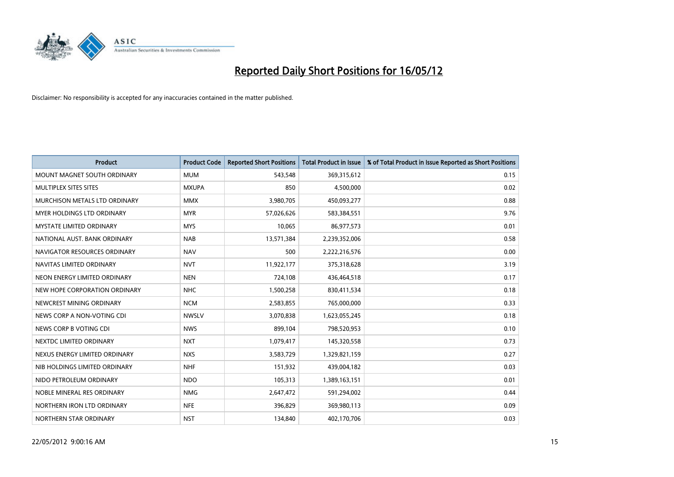

| <b>Product</b>                  | <b>Product Code</b> | <b>Reported Short Positions</b> | <b>Total Product in Issue</b> | % of Total Product in Issue Reported as Short Positions |
|---------------------------------|---------------------|---------------------------------|-------------------------------|---------------------------------------------------------|
| MOUNT MAGNET SOUTH ORDINARY     | <b>MUM</b>          | 543,548                         | 369,315,612                   | 0.15                                                    |
| MULTIPLEX SITES SITES           | <b>MXUPA</b>        | 850                             | 4,500,000                     | 0.02                                                    |
| MURCHISON METALS LTD ORDINARY   | <b>MMX</b>          | 3,980,705                       | 450,093,277                   | 0.88                                                    |
| MYER HOLDINGS LTD ORDINARY      | <b>MYR</b>          | 57,026,626                      | 583,384,551                   | 9.76                                                    |
| <b>MYSTATE LIMITED ORDINARY</b> | <b>MYS</b>          | 10,065                          | 86,977,573                    | 0.01                                                    |
| NATIONAL AUST, BANK ORDINARY    | <b>NAB</b>          | 13,571,384                      | 2,239,352,006                 | 0.58                                                    |
| NAVIGATOR RESOURCES ORDINARY    | <b>NAV</b>          | 500                             | 2,222,216,576                 | 0.00                                                    |
| NAVITAS LIMITED ORDINARY        | <b>NVT</b>          | 11,922,177                      | 375,318,628                   | 3.19                                                    |
| NEON ENERGY LIMITED ORDINARY    | <b>NEN</b>          | 724,108                         | 436,464,518                   | 0.17                                                    |
| NEW HOPE CORPORATION ORDINARY   | <b>NHC</b>          | 1,500,258                       | 830,411,534                   | 0.18                                                    |
| NEWCREST MINING ORDINARY        | <b>NCM</b>          | 2,583,855                       | 765,000,000                   | 0.33                                                    |
| NEWS CORP A NON-VOTING CDI      | <b>NWSLV</b>        | 3,070,838                       | 1,623,055,245                 | 0.18                                                    |
| NEWS CORP B VOTING CDI          | <b>NWS</b>          | 899,104                         | 798,520,953                   | 0.10                                                    |
| NEXTDC LIMITED ORDINARY         | <b>NXT</b>          | 1,079,417                       | 145,320,558                   | 0.73                                                    |
| NEXUS ENERGY LIMITED ORDINARY   | <b>NXS</b>          | 3,583,729                       | 1,329,821,159                 | 0.27                                                    |
| NIB HOLDINGS LIMITED ORDINARY   | <b>NHF</b>          | 151,932                         | 439,004,182                   | 0.03                                                    |
| NIDO PETROLEUM ORDINARY         | <b>NDO</b>          | 105,313                         | 1,389,163,151                 | 0.01                                                    |
| NOBLE MINERAL RES ORDINARY      | <b>NMG</b>          | 2,647,472                       | 591,294,002                   | 0.44                                                    |
| NORTHERN IRON LTD ORDINARY      | <b>NFE</b>          | 396,829                         | 369,980,113                   | 0.09                                                    |
| NORTHERN STAR ORDINARY          | <b>NST</b>          | 134,840                         | 402,170,706                   | 0.03                                                    |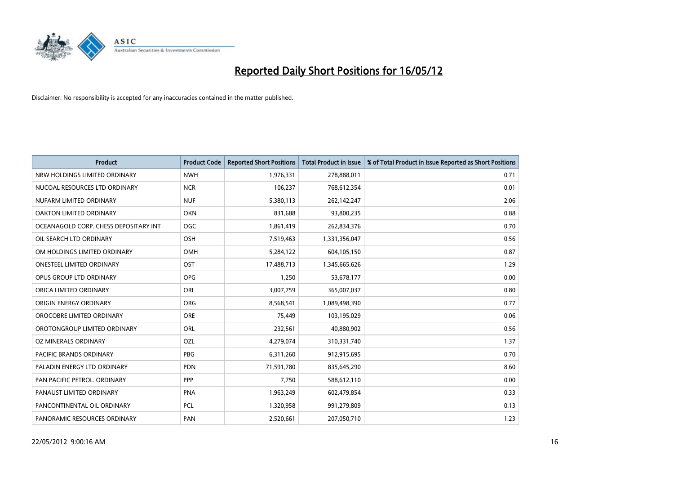

| <b>Product</b>                        | <b>Product Code</b> | <b>Reported Short Positions</b> | <b>Total Product in Issue</b> | % of Total Product in Issue Reported as Short Positions |
|---------------------------------------|---------------------|---------------------------------|-------------------------------|---------------------------------------------------------|
| NRW HOLDINGS LIMITED ORDINARY         | <b>NWH</b>          | 1,976,331                       | 278,888,011                   | 0.71                                                    |
| NUCOAL RESOURCES LTD ORDINARY         | <b>NCR</b>          | 106,237                         | 768,612,354                   | 0.01                                                    |
| NUFARM LIMITED ORDINARY               | <b>NUF</b>          | 5,380,113                       | 262,142,247                   | 2.06                                                    |
| OAKTON LIMITED ORDINARY               | <b>OKN</b>          | 831,688                         | 93,800,235                    | 0.88                                                    |
| OCEANAGOLD CORP. CHESS DEPOSITARY INT | <b>OGC</b>          | 1,861,419                       | 262,834,376                   | 0.70                                                    |
| OIL SEARCH LTD ORDINARY               | OSH                 | 7,519,463                       | 1,331,356,047                 | 0.56                                                    |
| OM HOLDINGS LIMITED ORDINARY          | OMH                 | 5,284,122                       | 604,105,150                   | 0.87                                                    |
| <b>ONESTEEL LIMITED ORDINARY</b>      | OST                 | 17,488,713                      | 1,345,665,626                 | 1.29                                                    |
| OPUS GROUP LTD ORDINARY               | <b>OPG</b>          | 1,250                           | 53,678,177                    | 0.00                                                    |
| ORICA LIMITED ORDINARY                | ORI                 | 3,007,759                       | 365,007,037                   | 0.80                                                    |
| ORIGIN ENERGY ORDINARY                | ORG                 | 8,568,541                       | 1,089,498,390                 | 0.77                                                    |
| OROCOBRE LIMITED ORDINARY             | <b>ORE</b>          | 75,449                          | 103,195,029                   | 0.06                                                    |
| OROTONGROUP LIMITED ORDINARY          | ORL                 | 232,561                         | 40,880,902                    | 0.56                                                    |
| OZ MINERALS ORDINARY                  | OZL                 | 4,279,074                       | 310,331,740                   | 1.37                                                    |
| PACIFIC BRANDS ORDINARY               | <b>PBG</b>          | 6,311,260                       | 912,915,695                   | 0.70                                                    |
| PALADIN ENERGY LTD ORDINARY           | <b>PDN</b>          | 71,591,780                      | 835,645,290                   | 8.60                                                    |
| PAN PACIFIC PETROL. ORDINARY          | <b>PPP</b>          | 7,750                           | 588,612,110                   | 0.00                                                    |
| PANAUST LIMITED ORDINARY              | <b>PNA</b>          | 1,963,249                       | 602,479,854                   | 0.33                                                    |
| PANCONTINENTAL OIL ORDINARY           | <b>PCL</b>          | 1,320,958                       | 991,279,809                   | 0.13                                                    |
| PANORAMIC RESOURCES ORDINARY          | PAN                 | 2,520,661                       | 207,050,710                   | 1.23                                                    |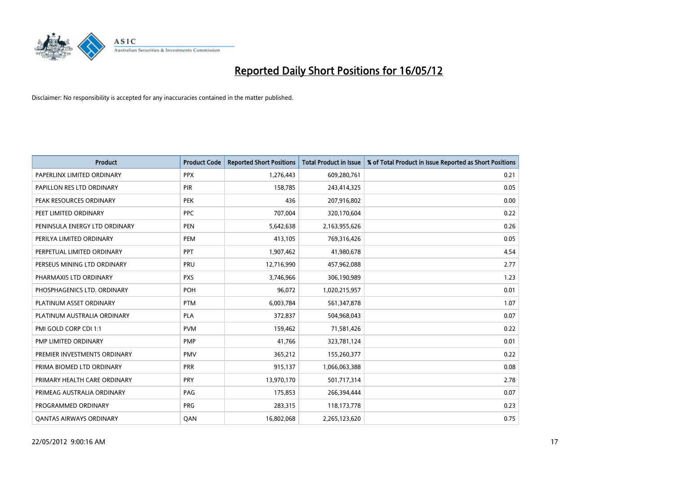

| <b>Product</b>                 | <b>Product Code</b> | <b>Reported Short Positions</b> | <b>Total Product in Issue</b> | % of Total Product in Issue Reported as Short Positions |
|--------------------------------|---------------------|---------------------------------|-------------------------------|---------------------------------------------------------|
| PAPERLINX LIMITED ORDINARY     | <b>PPX</b>          | 1,276,443                       | 609,280,761                   | 0.21                                                    |
| PAPILLON RES LTD ORDINARY      | <b>PIR</b>          | 158,785                         | 243,414,325                   | 0.05                                                    |
| PEAK RESOURCES ORDINARY        | <b>PEK</b>          | 436                             | 207,916,802                   | 0.00                                                    |
| PEET LIMITED ORDINARY          | <b>PPC</b>          | 707,004                         | 320,170,604                   | 0.22                                                    |
| PENINSULA ENERGY LTD ORDINARY  | <b>PEN</b>          | 5,642,638                       | 2,163,955,626                 | 0.26                                                    |
| PERILYA LIMITED ORDINARY       | PEM                 | 413,105                         | 769,316,426                   | 0.05                                                    |
| PERPETUAL LIMITED ORDINARY     | <b>PPT</b>          | 1,907,462                       | 41,980,678                    | 4.54                                                    |
| PERSEUS MINING LTD ORDINARY    | PRU                 | 12,716,990                      | 457,962,088                   | 2.77                                                    |
| PHARMAXIS LTD ORDINARY         | <b>PXS</b>          | 3,746,966                       | 306,190,989                   | 1.23                                                    |
| PHOSPHAGENICS LTD. ORDINARY    | POH                 | 96,072                          | 1,020,215,957                 | 0.01                                                    |
| PLATINUM ASSET ORDINARY        | <b>PTM</b>          | 6,003,784                       | 561,347,878                   | 1.07                                                    |
| PLATINUM AUSTRALIA ORDINARY    | <b>PLA</b>          | 372,837                         | 504,968,043                   | 0.07                                                    |
| PMI GOLD CORP CDI 1:1          | <b>PVM</b>          | 159,462                         | 71,581,426                    | 0.22                                                    |
| PMP LIMITED ORDINARY           | <b>PMP</b>          | 41,766                          | 323,781,124                   | 0.01                                                    |
| PREMIER INVESTMENTS ORDINARY   | <b>PMV</b>          | 365,212                         | 155,260,377                   | 0.22                                                    |
| PRIMA BIOMED LTD ORDINARY      | <b>PRR</b>          | 915,137                         | 1,066,063,388                 | 0.08                                                    |
| PRIMARY HEALTH CARE ORDINARY   | <b>PRY</b>          | 13,970,170                      | 501,717,314                   | 2.78                                                    |
| PRIMEAG AUSTRALIA ORDINARY     | PAG                 | 175,853                         | 266,394,444                   | 0.07                                                    |
| PROGRAMMED ORDINARY            | <b>PRG</b>          | 283,315                         | 118,173,778                   | 0.23                                                    |
| <b>QANTAS AIRWAYS ORDINARY</b> | QAN                 | 16,802,068                      | 2,265,123,620                 | 0.75                                                    |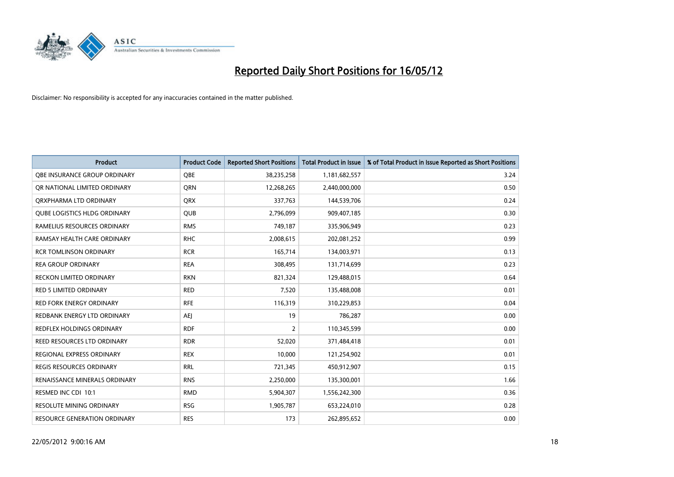

| <b>Product</b>                      | <b>Product Code</b> | <b>Reported Short Positions</b> | <b>Total Product in Issue</b> | % of Total Product in Issue Reported as Short Positions |
|-------------------------------------|---------------------|---------------------------------|-------------------------------|---------------------------------------------------------|
| OBE INSURANCE GROUP ORDINARY        | <b>OBE</b>          | 38,235,258                      | 1,181,682,557                 | 3.24                                                    |
| OR NATIONAL LIMITED ORDINARY        | <b>ORN</b>          | 12,268,265                      | 2,440,000,000                 | 0.50                                                    |
| ORXPHARMA LTD ORDINARY              | <b>QRX</b>          | 337,763                         | 144,539,706                   | 0.24                                                    |
| <b>QUBE LOGISTICS HLDG ORDINARY</b> | QUB                 | 2,796,099                       | 909,407,185                   | 0.30                                                    |
| RAMELIUS RESOURCES ORDINARY         | <b>RMS</b>          | 749,187                         | 335,906,949                   | 0.23                                                    |
| RAMSAY HEALTH CARE ORDINARY         | <b>RHC</b>          | 2,008,615                       | 202,081,252                   | 0.99                                                    |
| <b>RCR TOMLINSON ORDINARY</b>       | <b>RCR</b>          | 165,714                         | 134,003,971                   | 0.13                                                    |
| <b>REA GROUP ORDINARY</b>           | <b>REA</b>          | 308,495                         | 131,714,699                   | 0.23                                                    |
| <b>RECKON LIMITED ORDINARY</b>      | <b>RKN</b>          | 821,324                         | 129,488,015                   | 0.64                                                    |
| <b>RED 5 LIMITED ORDINARY</b>       | <b>RED</b>          | 7,520                           | 135,488,008                   | 0.01                                                    |
| RED FORK ENERGY ORDINARY            | <b>RFE</b>          | 116,319                         | 310,229,853                   | 0.04                                                    |
| REDBANK ENERGY LTD ORDINARY         | AEJ                 | 19                              | 786,287                       | 0.00                                                    |
| REDFLEX HOLDINGS ORDINARY           | <b>RDF</b>          | $\overline{2}$                  | 110,345,599                   | 0.00                                                    |
| <b>REED RESOURCES LTD ORDINARY</b>  | <b>RDR</b>          | 52,020                          | 371,484,418                   | 0.01                                                    |
| <b>REGIONAL EXPRESS ORDINARY</b>    | <b>REX</b>          | 10,000                          | 121,254,902                   | 0.01                                                    |
| <b>REGIS RESOURCES ORDINARY</b>     | <b>RRL</b>          | 721,345                         | 450,912,907                   | 0.15                                                    |
| RENAISSANCE MINERALS ORDINARY       | <b>RNS</b>          | 2,250,000                       | 135,300,001                   | 1.66                                                    |
| RESMED INC CDI 10:1                 | <b>RMD</b>          | 5,904,307                       | 1,556,242,300                 | 0.36                                                    |
| <b>RESOLUTE MINING ORDINARY</b>     | <b>RSG</b>          | 1,905,787                       | 653,224,010                   | 0.28                                                    |
| RESOURCE GENERATION ORDINARY        | <b>RES</b>          | 173                             | 262,895,652                   | 0.00                                                    |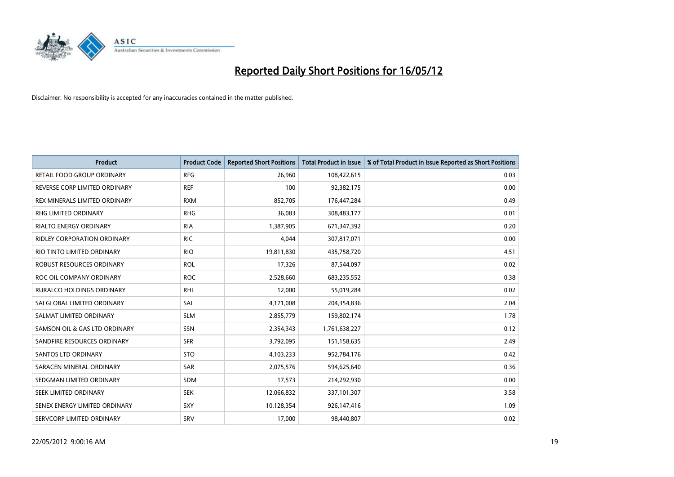

| <b>Product</b>                   | <b>Product Code</b> | <b>Reported Short Positions</b> | <b>Total Product in Issue</b> | % of Total Product in Issue Reported as Short Positions |
|----------------------------------|---------------------|---------------------------------|-------------------------------|---------------------------------------------------------|
| RETAIL FOOD GROUP ORDINARY       | <b>RFG</b>          | 26,960                          | 108,422,615                   | 0.03                                                    |
| REVERSE CORP LIMITED ORDINARY    | <b>REF</b>          | 100                             | 92,382,175                    | 0.00                                                    |
| REX MINERALS LIMITED ORDINARY    | <b>RXM</b>          | 852,705                         | 176,447,284                   | 0.49                                                    |
| RHG LIMITED ORDINARY             | <b>RHG</b>          | 36,083                          | 308,483,177                   | 0.01                                                    |
| <b>RIALTO ENERGY ORDINARY</b>    | <b>RIA</b>          | 1,387,905                       | 671,347,392                   | 0.20                                                    |
| RIDLEY CORPORATION ORDINARY      | <b>RIC</b>          | 4,044                           | 307,817,071                   | 0.00                                                    |
| RIO TINTO LIMITED ORDINARY       | <b>RIO</b>          | 19,811,830                      | 435,758,720                   | 4.51                                                    |
| ROBUST RESOURCES ORDINARY        | <b>ROL</b>          | 17,326                          | 87,544,097                    | 0.02                                                    |
| ROC OIL COMPANY ORDINARY         | <b>ROC</b>          | 2,528,660                       | 683,235,552                   | 0.38                                                    |
| <b>RURALCO HOLDINGS ORDINARY</b> | <b>RHL</b>          | 12,000                          | 55,019,284                    | 0.02                                                    |
| SAI GLOBAL LIMITED ORDINARY      | SAI                 | 4,171,008                       | 204,354,836                   | 2.04                                                    |
| SALMAT LIMITED ORDINARY          | <b>SLM</b>          | 2,855,779                       | 159,802,174                   | 1.78                                                    |
| SAMSON OIL & GAS LTD ORDINARY    | SSN                 | 2,354,343                       | 1,761,638,227                 | 0.12                                                    |
| SANDFIRE RESOURCES ORDINARY      | <b>SFR</b>          | 3,792,095                       | 151,158,635                   | 2.49                                                    |
| SANTOS LTD ORDINARY              | <b>STO</b>          | 4,103,233                       | 952,784,176                   | 0.42                                                    |
| SARACEN MINERAL ORDINARY         | SAR                 | 2,075,576                       | 594,625,640                   | 0.36                                                    |
| SEDGMAN LIMITED ORDINARY         | SDM                 | 17,573                          | 214,292,930                   | 0.00                                                    |
| SEEK LIMITED ORDINARY            | <b>SEK</b>          | 12,066,832                      | 337,101,307                   | 3.58                                                    |
| SENEX ENERGY LIMITED ORDINARY    | SXY                 | 10,128,354                      | 926,147,416                   | 1.09                                                    |
| SERVCORP LIMITED ORDINARY        | SRV                 | 17,000                          | 98,440,807                    | 0.02                                                    |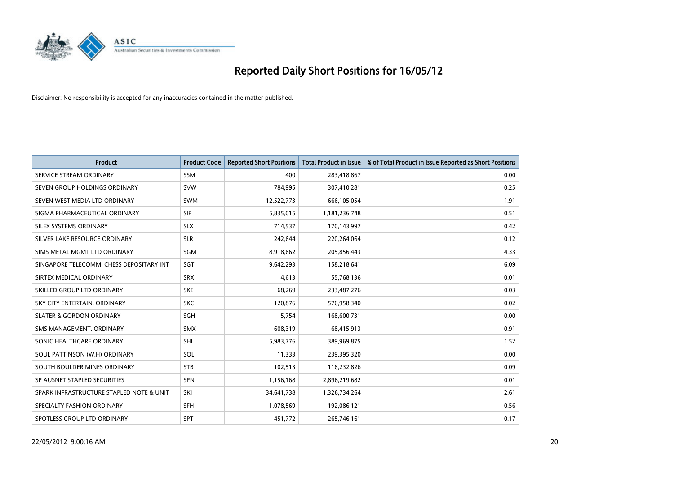

| <b>Product</b>                           | <b>Product Code</b> | <b>Reported Short Positions</b> | <b>Total Product in Issue</b> | % of Total Product in Issue Reported as Short Positions |
|------------------------------------------|---------------------|---------------------------------|-------------------------------|---------------------------------------------------------|
| SERVICE STREAM ORDINARY                  | <b>SSM</b>          | 400                             | 283,418,867                   | 0.00                                                    |
| SEVEN GROUP HOLDINGS ORDINARY            | <b>SVW</b>          | 784,995                         | 307,410,281                   | 0.25                                                    |
| SEVEN WEST MEDIA LTD ORDINARY            | <b>SWM</b>          | 12,522,773                      | 666,105,054                   | 1.91                                                    |
| SIGMA PHARMACEUTICAL ORDINARY            | <b>SIP</b>          | 5,835,015                       | 1,181,236,748                 | 0.51                                                    |
| SILEX SYSTEMS ORDINARY                   | <b>SLX</b>          | 714,537                         | 170,143,997                   | 0.42                                                    |
| SILVER LAKE RESOURCE ORDINARY            | <b>SLR</b>          | 242,644                         | 220,264,064                   | 0.12                                                    |
| SIMS METAL MGMT LTD ORDINARY             | <b>SGM</b>          | 8,918,662                       | 205,856,443                   | 4.33                                                    |
| SINGAPORE TELECOMM. CHESS DEPOSITARY INT | SGT                 | 9,642,293                       | 158,218,641                   | 6.09                                                    |
| SIRTEX MEDICAL ORDINARY                  | <b>SRX</b>          | 4,613                           | 55,768,136                    | 0.01                                                    |
| SKILLED GROUP LTD ORDINARY               | <b>SKE</b>          | 68,269                          | 233,487,276                   | 0.03                                                    |
| SKY CITY ENTERTAIN. ORDINARY             | <b>SKC</b>          | 120,876                         | 576,958,340                   | 0.02                                                    |
| <b>SLATER &amp; GORDON ORDINARY</b>      | SGH                 | 5,754                           | 168,600,731                   | 0.00                                                    |
| SMS MANAGEMENT. ORDINARY                 | <b>SMX</b>          | 608,319                         | 68,415,913                    | 0.91                                                    |
| SONIC HEALTHCARE ORDINARY                | <b>SHL</b>          | 5,983,776                       | 389,969,875                   | 1.52                                                    |
| SOUL PATTINSON (W.H) ORDINARY            | SOL                 | 11,333                          | 239,395,320                   | 0.00                                                    |
| SOUTH BOULDER MINES ORDINARY             | <b>STB</b>          | 102,513                         | 116,232,826                   | 0.09                                                    |
| SP AUSNET STAPLED SECURITIES             | <b>SPN</b>          | 1,156,168                       | 2,896,219,682                 | 0.01                                                    |
| SPARK INFRASTRUCTURE STAPLED NOTE & UNIT | SKI                 | 34,641,738                      | 1,326,734,264                 | 2.61                                                    |
| SPECIALTY FASHION ORDINARY               | <b>SFH</b>          | 1,078,569                       | 192,086,121                   | 0.56                                                    |
| SPOTLESS GROUP LTD ORDINARY              | <b>SPT</b>          | 451,772                         | 265,746,161                   | 0.17                                                    |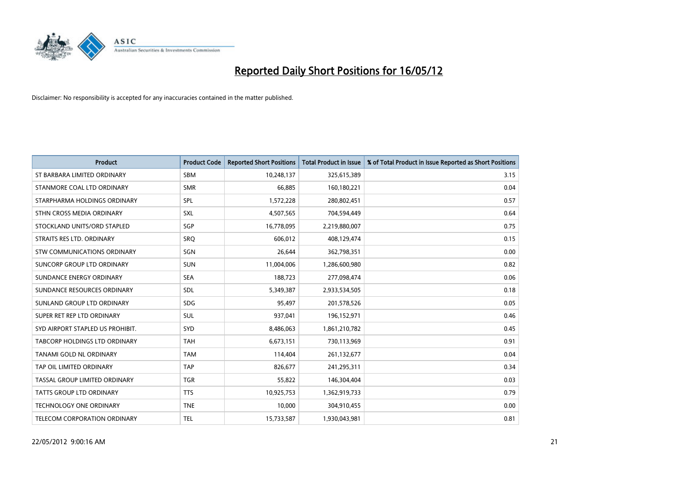

| <b>Product</b>                      | <b>Product Code</b> | <b>Reported Short Positions</b> | <b>Total Product in Issue</b> | % of Total Product in Issue Reported as Short Positions |
|-------------------------------------|---------------------|---------------------------------|-------------------------------|---------------------------------------------------------|
| ST BARBARA LIMITED ORDINARY         | <b>SBM</b>          | 10,248,137                      | 325,615,389                   | 3.15                                                    |
| STANMORE COAL LTD ORDINARY          | <b>SMR</b>          | 66,885                          | 160,180,221                   | 0.04                                                    |
| STARPHARMA HOLDINGS ORDINARY        | <b>SPL</b>          | 1,572,228                       | 280,802,451                   | 0.57                                                    |
| STHN CROSS MEDIA ORDINARY           | SXL                 | 4,507,565                       | 704,594,449                   | 0.64                                                    |
| STOCKLAND UNITS/ORD STAPLED         | SGP                 | 16,778,095                      | 2,219,880,007                 | 0.75                                                    |
| STRAITS RES LTD. ORDINARY           | SRQ                 | 606,012                         | 408,129,474                   | 0.15                                                    |
| STW COMMUNICATIONS ORDINARY         | SGN                 | 26,644                          | 362,798,351                   | 0.00                                                    |
| SUNCORP GROUP LTD ORDINARY          | <b>SUN</b>          | 11,004,006                      | 1,286,600,980                 | 0.82                                                    |
| SUNDANCE ENERGY ORDINARY            | <b>SEA</b>          | 188,723                         | 277,098,474                   | 0.06                                                    |
| SUNDANCE RESOURCES ORDINARY         | <b>SDL</b>          | 5,349,387                       | 2,933,534,505                 | 0.18                                                    |
| SUNLAND GROUP LTD ORDINARY          | <b>SDG</b>          | 95,497                          | 201,578,526                   | 0.05                                                    |
| SUPER RET REP LTD ORDINARY          | <b>SUL</b>          | 937,041                         | 196,152,971                   | 0.46                                                    |
| SYD AIRPORT STAPLED US PROHIBIT.    | <b>SYD</b>          | 8,486,063                       | 1,861,210,782                 | 0.45                                                    |
| TABCORP HOLDINGS LTD ORDINARY       | <b>TAH</b>          | 6,673,151                       | 730,113,969                   | 0.91                                                    |
| TANAMI GOLD NL ORDINARY             | <b>TAM</b>          | 114,404                         | 261,132,677                   | 0.04                                                    |
| TAP OIL LIMITED ORDINARY            | <b>TAP</b>          | 826,677                         | 241,295,311                   | 0.34                                                    |
| TASSAL GROUP LIMITED ORDINARY       | <b>TGR</b>          | 55,822                          | 146,304,404                   | 0.03                                                    |
| TATTS GROUP LTD ORDINARY            | <b>TTS</b>          | 10,925,753                      | 1,362,919,733                 | 0.79                                                    |
| <b>TECHNOLOGY ONE ORDINARY</b>      | <b>TNE</b>          | 10,000                          | 304,910,455                   | 0.00                                                    |
| <b>TELECOM CORPORATION ORDINARY</b> | <b>TEL</b>          | 15,733,587                      | 1,930,043,981                 | 0.81                                                    |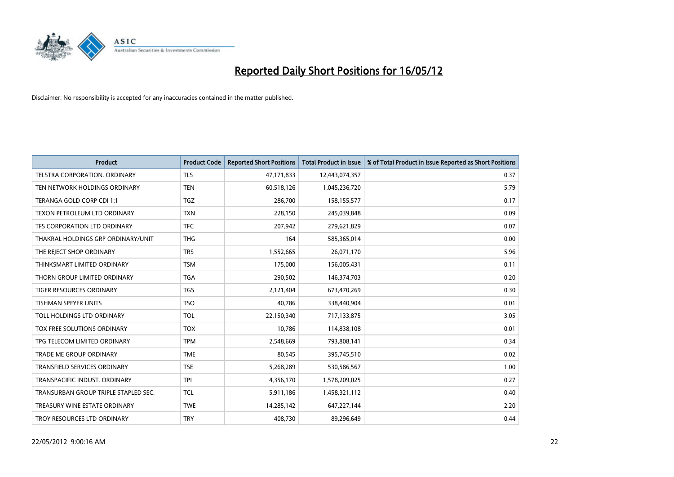

| <b>Product</b>                       | <b>Product Code</b> | <b>Reported Short Positions</b> | <b>Total Product in Issue</b> | % of Total Product in Issue Reported as Short Positions |
|--------------------------------------|---------------------|---------------------------------|-------------------------------|---------------------------------------------------------|
| <b>TELSTRA CORPORATION, ORDINARY</b> | <b>TLS</b>          | 47,171,833                      | 12,443,074,357                | 0.37                                                    |
| TEN NETWORK HOLDINGS ORDINARY        | <b>TEN</b>          | 60,518,126                      | 1,045,236,720                 | 5.79                                                    |
| TERANGA GOLD CORP CDI 1:1            | <b>TGZ</b>          | 286,700                         | 158,155,577                   | 0.17                                                    |
| <b>TEXON PETROLEUM LTD ORDINARY</b>  | <b>TXN</b>          | 228,150                         | 245,039,848                   | 0.09                                                    |
| TFS CORPORATION LTD ORDINARY         | <b>TFC</b>          | 207,942                         | 279,621,829                   | 0.07                                                    |
| THAKRAL HOLDINGS GRP ORDINARY/UNIT   | <b>THG</b>          | 164                             | 585,365,014                   | 0.00                                                    |
| THE REJECT SHOP ORDINARY             | <b>TRS</b>          | 1,552,665                       | 26,071,170                    | 5.96                                                    |
| THINKSMART LIMITED ORDINARY          | <b>TSM</b>          | 175,000                         | 156,005,431                   | 0.11                                                    |
| THORN GROUP LIMITED ORDINARY         | <b>TGA</b>          | 290,502                         | 146,374,703                   | 0.20                                                    |
| <b>TIGER RESOURCES ORDINARY</b>      | <b>TGS</b>          | 2,121,404                       | 673,470,269                   | 0.30                                                    |
| TISHMAN SPEYER UNITS                 | <b>TSO</b>          | 40,786                          | 338,440,904                   | 0.01                                                    |
| TOLL HOLDINGS LTD ORDINARY           | <b>TOL</b>          | 22,150,340                      | 717,133,875                   | 3.05                                                    |
| TOX FREE SOLUTIONS ORDINARY          | <b>TOX</b>          | 10,786                          | 114,838,108                   | 0.01                                                    |
| TPG TELECOM LIMITED ORDINARY         | <b>TPM</b>          | 2,548,669                       | 793,808,141                   | 0.34                                                    |
| TRADE ME GROUP ORDINARY              | <b>TME</b>          | 80,545                          | 395,745,510                   | 0.02                                                    |
| <b>TRANSFIELD SERVICES ORDINARY</b>  | <b>TSE</b>          | 5,268,289                       | 530,586,567                   | 1.00                                                    |
| TRANSPACIFIC INDUST, ORDINARY        | <b>TPI</b>          | 4,356,170                       | 1,578,209,025                 | 0.27                                                    |
| TRANSURBAN GROUP TRIPLE STAPLED SEC. | <b>TCL</b>          | 5,911,186                       | 1,458,321,112                 | 0.40                                                    |
| TREASURY WINE ESTATE ORDINARY        | <b>TWE</b>          | 14,285,142                      | 647,227,144                   | 2.20                                                    |
| TROY RESOURCES LTD ORDINARY          | <b>TRY</b>          | 408,730                         | 89,296,649                    | 0.44                                                    |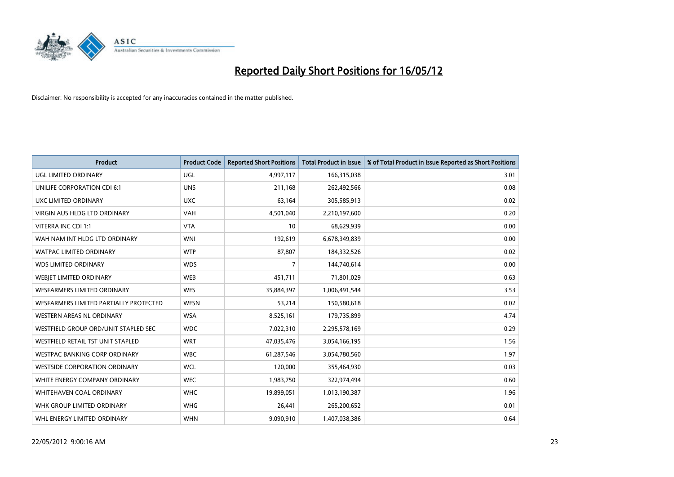

| <b>Product</b>                         | <b>Product Code</b> | <b>Reported Short Positions</b> | <b>Total Product in Issue</b> | % of Total Product in Issue Reported as Short Positions |
|----------------------------------------|---------------------|---------------------------------|-------------------------------|---------------------------------------------------------|
| <b>UGL LIMITED ORDINARY</b>            | UGL                 | 4,997,117                       | 166,315,038                   | 3.01                                                    |
| UNILIFE CORPORATION CDI 6:1            | <b>UNS</b>          | 211,168                         | 262,492,566                   | 0.08                                                    |
| UXC LIMITED ORDINARY                   | <b>UXC</b>          | 63,164                          | 305,585,913                   | 0.02                                                    |
| <b>VIRGIN AUS HLDG LTD ORDINARY</b>    | <b>VAH</b>          | 4,501,040                       | 2,210,197,600                 | 0.20                                                    |
| VITERRA INC CDI 1:1                    | <b>VTA</b>          | 10                              | 68,629,939                    | 0.00                                                    |
| WAH NAM INT HLDG LTD ORDINARY          | <b>WNI</b>          | 192,619                         | 6,678,349,839                 | 0.00                                                    |
| <b>WATPAC LIMITED ORDINARY</b>         | <b>WTP</b>          | 87,807                          | 184,332,526                   | 0.02                                                    |
| <b>WDS LIMITED ORDINARY</b>            | <b>WDS</b>          | $\overline{7}$                  | 144,740,614                   | 0.00                                                    |
| WEBJET LIMITED ORDINARY                | <b>WEB</b>          | 451,711                         | 71,801,029                    | 0.63                                                    |
| <b>WESFARMERS LIMITED ORDINARY</b>     | <b>WES</b>          | 35,884,397                      | 1,006,491,544                 | 3.53                                                    |
| WESFARMERS LIMITED PARTIALLY PROTECTED | <b>WESN</b>         | 53,214                          | 150,580,618                   | 0.02                                                    |
| <b>WESTERN AREAS NL ORDINARY</b>       | <b>WSA</b>          | 8,525,161                       | 179,735,899                   | 4.74                                                    |
| WESTFIELD GROUP ORD/UNIT STAPLED SEC   | <b>WDC</b>          | 7,022,310                       | 2,295,578,169                 | 0.29                                                    |
| WESTFIELD RETAIL TST UNIT STAPLED      | <b>WRT</b>          | 47,035,476                      | 3,054,166,195                 | 1.56                                                    |
| <b>WESTPAC BANKING CORP ORDINARY</b>   | <b>WBC</b>          | 61,287,546                      | 3,054,780,560                 | 1.97                                                    |
| <b>WESTSIDE CORPORATION ORDINARY</b>   | <b>WCL</b>          | 120,000                         | 355,464,930                   | 0.03                                                    |
| WHITE ENERGY COMPANY ORDINARY          | <b>WEC</b>          | 1,983,750                       | 322,974,494                   | 0.60                                                    |
| WHITEHAVEN COAL ORDINARY               | <b>WHC</b>          | 19,899,051                      | 1,013,190,387                 | 1.96                                                    |
| WHK GROUP LIMITED ORDINARY             | <b>WHG</b>          | 26,441                          | 265,200,652                   | 0.01                                                    |
| WHL ENERGY LIMITED ORDINARY            | <b>WHN</b>          | 9,090,910                       | 1,407,038,386                 | 0.64                                                    |